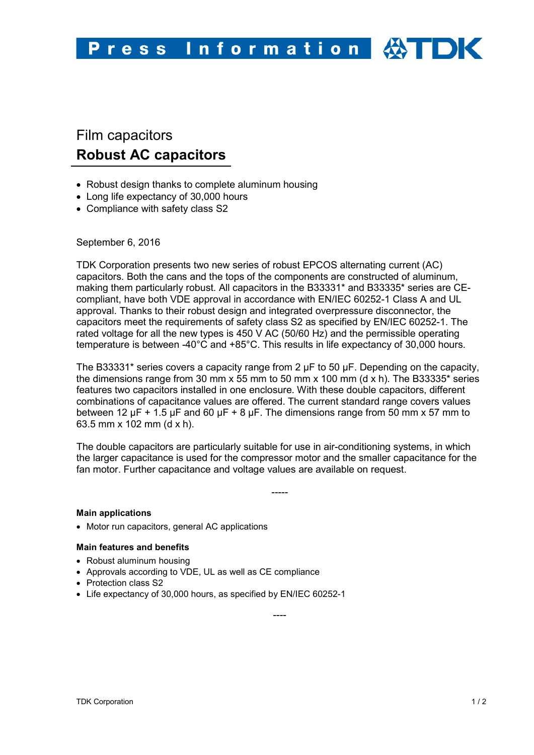# Film capacitors **Robust AC capacitors**

- Robust design thanks to complete aluminum housing
- Long life expectancy of 30,000 hours
- Compliance with safety class S2

# September 6, 2016

TDK Corporation presents two new series of robust EPCOS alternating current (AC) capacitors. Both the cans and the tops of the components are constructed of aluminum, making them particularly robust. All capacitors in the B33331\* and B33335\* series are CEcompliant, have both VDE approval in accordance with EN/IEC 60252-1 Class A and UL approval. Thanks to their robust design and integrated overpressure disconnector, the capacitors meet the requirements of safety class S2 as specified by EN/IEC 60252-1. The rated voltage for all the new types is 450 V AC (50/60 Hz) and the permissible operating temperature is between -40°C and +85°C. This results in life expectancy of 30,000 hours.

The B33331\* series covers a capacity range from 2  $\mu$ F to 50  $\mu$ F. Depending on the capacity, the dimensions range from 30 mm x 55 mm to 50 mm x 100 mm (d x h). The B33335<sup>\*</sup> series features two capacitors installed in one enclosure. With these double capacitors, different combinations of capacitance values are offered. The current standard range covers values between 12  $\mu$ F + 1.5  $\mu$ F and 60  $\mu$ F + 8  $\mu$ F. The dimensions range from 50 mm x 57 mm to 63.5 mm x 102 mm (d x h).

The double capacitors are particularly suitable for use in air-conditioning systems, in which the larger capacitance is used for the compressor motor and the smaller capacitance for the fan motor. Further capacitance and voltage values are available on request.

-----

----

#### **Main applications**

• Motor run capacitors, general AC applications

#### **Main features and benefits**

- Robust aluminum housing
- Approvals according to VDE, UL as well as CE compliance
- Protection class S2
- Life expectancy of 30,000 hours, as specified by EN/IEC 60252-1